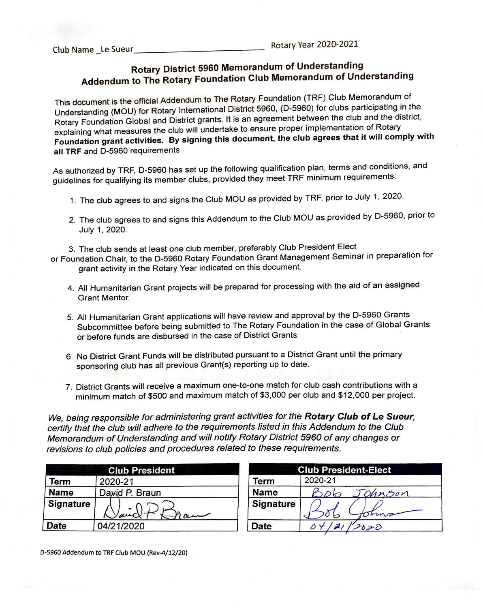## **Rotary District 5960 Memorandum of Understanding Addendum to The Rotary Foundation Club Memorandum of Understanding**

This document is the official Addendum to The Rotary Foundation (TRF) Club Memorandum of Understanding (MOU) for Rotary International District 5960, (D-5960) for clubs participating in the Rotary Foundation Global and District grants. It is an agreement between the club and the district, explaining what measures the club will undertake to ensure proper implementation of Rotary **Foundation grant activities. By signing this document, the club agrees that it will comply with all TRF** and D-5960 requirements .

As authorized by TRF, D-5960 has set up the following qualification plan, terms and conditions, and guidelines for qualifying its member clubs, provided they meet TRF minimum requirements:

- 1. The club agrees to and signs the Club MOU as provided by TRF, prior to July 1, 2020.
- 2. The club agrees to and signs this Addendum to the Club MOU as provided by D-5960, prior to July 1, 2020.

3. The club sends at least one club member, preferably Club President Elect

or Foundation Chair, to the D-5960 Rotary Foundation Grant Management Seminar in preparation for grant activity in the Rotary Year indicated on this document.

- 4. All Humanitarian Grant projects will be prepared for processing with the aid of an assigned Grant Mentor.
- 5. All Humanitarian Grant applications will have review and approval by the D-5960 Grants Subcommittee before being submitted to The Rotary Foundation in the case of Global Grants or before funds are disbursed in the case of District Grants.
- 6. No District Grant Funds will be distributed pursuant to a District Grant until the primary sponsoring club has all previous Grant(s) reporting up to date.
- 7. District Grants will receive a maximum one-to-one match for club cash contributions with a minimum match of \$500 and maximum match of \$3,000 per club and \$12,000 per project.

We, being responsible for administering grant activities for the Rotary Club of Le Sueur. *certify that the club will adhere to the requirements listed in this Addendum to the Club Memorandum of Understanding and will notify Rotary District 5960 of any changes or revisions to club policies and procedures related to these requirements.* 

|                  | <b>Club President</b> |                  | <b>Club Pre</b> |  |
|------------------|-----------------------|------------------|-----------------|--|
| Term             | 2020-21               | Term             | 2020-21         |  |
| <b>Name</b>      | Daxid P. Braun        | <b>Name</b>      |                 |  |
| <b>Signature</b> | $H$ and<br>duc'       | <b>Signature</b> |                 |  |
| Date             | 04/21/2020            | <b>Date</b>      |                 |  |

| <b>Club President-Elect</b> |               |  |
|-----------------------------|---------------|--|
| Term                        | 2020-21       |  |
| <b>Name</b>                 | Johnson<br>DD |  |
| Signature                   |               |  |
| Date                        | 2020          |  |

D-5960 Addendum to TRF Club MOU (Rev-4/12/20)